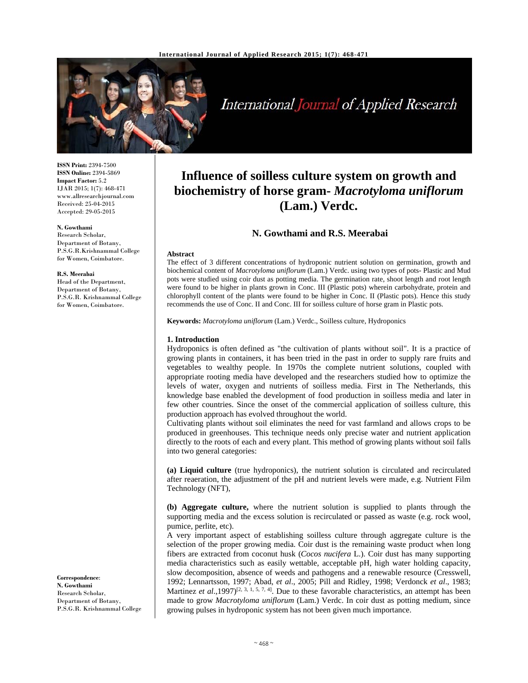

# International Journal of Applied Research

**ISSN Print:** 2394-7500 **ISSN Online:** 2394-5869 **Impact Factor:** 5.2 IJAR 2015; 1(7): 468-471 www.allresearchjournal.com Received: 25-04-2015 Accepted: 29-05-2015

#### **N. Gowthami**

Research Scholar, Department of Botany, P.S.G.R.Krishnammal College for Women, Coimbatore.

#### **R.S. Meerabai**

Head of the Department, Department of Botany, P.S.G.R. Krishnammal College for Women, Coimbatore.

**Correspondence**: **N. Gowthami**  Research Scholar, Department of Botany, P.S.G.R. Krishnammal College

## **Influence of soilless culture system on growth and biochemistry of horse gram-** *Macrotyloma uniflorum* **(Lam.) Verdc.**

### **N. Gowthami and R.S. Meerabai**

#### **Abstract**

The effect of 3 different concentrations of hydroponic nutrient solution on germination, growth and biochemical content of *Macrotyloma uniflorum* (Lam.) Verdc. using two types of pots- Plastic and Mud pots were studied using coir dust as potting media. The germination rate, shoot length and root length were found to be higher in plants grown in Conc. III (Plastic pots) wherein carbohydrate, protein and chlorophyll content of the plants were found to be higher in Conc. II (Plastic pots). Hence this study recommends the use of Conc. II and Conc. III for soilless culture of horse gram in Plastic pots.

**Keywords:** *Macrotyloma uniflorum* (Lam.) Verdc., Soilless culture, Hydroponics

#### **1. Introduction**

Hydroponics is often defined as "the cultivation of plants without soil". It is a practice of growing plants in containers, it has been tried in the past in order to supply rare fruits and vegetables to wealthy people. In 1970s the complete nutrient solutions, coupled with appropriate rooting media have developed and the researchers studied how to optimize the levels of water, oxygen and nutrients of soilless media. First in The Netherlands, this knowledge base enabled the development of food production in soilless media and later in few other countries. Since the onset of the commercial application of soilless culture, this production approach has evolved throughout the world.

Cultivating plants without soil eliminates the need for vast farmland and allows crops to be produced in greenhouses. This technique needs only precise water and nutrient application directly to the roots of each and every plant. This method of growing plants without soil falls into two general categories:

**(a) Liquid culture** (true hydroponics), the nutrient solution is circulated and recirculated after reaeration, the adjustment of the pH and nutrient levels were made, e.g. Nutrient Film Technology (NFT),

**(b) Aggregate culture,** where the nutrient solution is supplied to plants through the supporting media and the excess solution is recirculated or passed as waste (e.g. rock wool, pumice, perlite, etc).

A very important aspect of establishing soilless culture through aggregate culture is the selection of the proper growing media. Coir dust is the remaining waste product when long fibers are extracted from coconut husk (*Cocos nucifera* L.). Coir dust has many supporting media characteristics such as easily wettable, acceptable pH, high water holding capacity, slow decomposition, absence of weeds and pathogens and a renewable resource (Cresswell, 1992; Lennartsson, 1997; Abad, *et al*., 2005; Pill and Ridley, 1998; Verdonck *et al*., 1983; Martinez *et al.*,1997)<sup>[2, 3, 1, 5, 7, 4]. Due to these favorable characteristics, an attempt has been</sup> made to grow *Macrotyloma uniflorum* (Lam.) Verdc. In coir dust as potting medium, since growing pulses in hydroponic system has not been given much importance.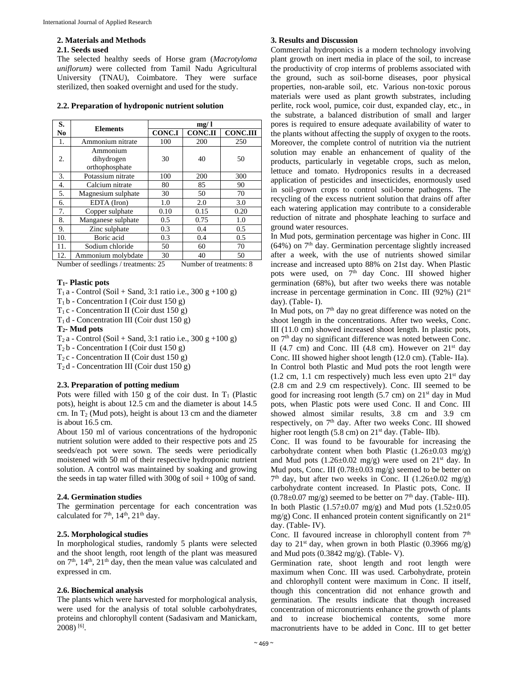#### **2. Materials and Methods**

#### **2.1. Seeds used**

The selected healthy seeds of Horse gram (*Macrotyloma uniflorum)* were collected from Tamil Nadu Agricultural University (TNAU), Coimbatore. They were surface sterilized, then soaked overnight and used for the study.

#### **2.2. Preparation of hydroponic nutrient solution**

| S.             |                    | mg/1          |                |                 |  |  |
|----------------|--------------------|---------------|----------------|-----------------|--|--|
| N <sub>0</sub> | <b>Elements</b>    | <b>CONC.I</b> | <b>CONC.II</b> | <b>CONC.III</b> |  |  |
| 1.             | Ammonium nitrate   | 100           | 200            | 250             |  |  |
|                | Ammonium           |               |                |                 |  |  |
| 2.             | dihydrogen         | 30            | 40             | 50              |  |  |
|                | orthophosphate     |               |                |                 |  |  |
| 3.             | Potassium nitrate  | 100           | 200            | 300             |  |  |
| 4.             | Calcium nitrate    | 80            | 85             | 90              |  |  |
| 5.             | Magnesium sulphate | 30            | 50             | 70              |  |  |
| б.             | EDTA (Iron)        | 1.0           | 2.0            | 3.0             |  |  |
| 7.             | Copper sulphate    | 0.10          | 0.15           | 0.20            |  |  |
| 8.             | Manganese sulphate | 0.5           | 0.75           | 1.0             |  |  |
| 9.             | Zinc sulphate      | 0.3           | 0.4            | 0.5             |  |  |
| 10.            | Boric acid         | 0.3           | 0.4            | 0.5             |  |  |
| 11.            | Sodium chloride    | 50            | 60             | 70              |  |  |
| 12.            | Ammonium molybdate | 30            | 40             | 50              |  |  |

Number of seedlings / treatments: 25 Number of treatments: 8

#### **T1- Plastic pots**

 $T_1$  a - Control (Soil + Sand, 3:1 ratio i.e., 300 g +100 g)

 $T_1$  b - Concentration I (Coir dust 150 g)

 $T_1$  c - Concentration II (Coir dust 150 g)

 $T_1$  d - Concentration III (Coir dust 150 g)

#### **T2- Mud pots**

T2 a - Control (Soil + Sand, 3:1 ratio i.e., 300 g +100 g)

 $T_2$  b - Concentration I (Coir dust 150 g)

 $T_2$  c - Concentration II (Coir dust 150 g)

 $T_2$ d - Concentration III (Coir dust 150 g)

#### **2.3. Preparation of potting medium**

Pots were filled with 150 g of the coir dust. In  $T_1$  (Plastic pots), height is about 12.5 cm and the diameter is about 14.5 cm. In  $T_2$  (Mud pots), height is about 13 cm and the diameter is about 16.5 cm.

About 150 ml of various concentrations of the hydroponic nutrient solution were added to their respective pots and 25 seeds/each pot were sown. The seeds were periodically moistened with 50 ml of their respective hydroponic nutrient solution. A control was maintained by soaking and growing the seeds in tap water filled with  $300g$  of soil  $+100g$  of sand.

#### **2.4. Germination studies**

The germination percentage for each concentration was calculated for  $7<sup>th</sup>$ ,  $14<sup>th</sup>$ ,  $21<sup>th</sup>$  day.

#### **2.5. Morphological studies**

In morphological studies, randomly 5 plants were selected and the shoot length, root length of the plant was measured on  $7<sup>th</sup>$ ,  $14<sup>th</sup>$ ,  $21<sup>th</sup>$  day, then the mean value was calculated and expressed in cm.

#### **2.6. Biochemical analysis**

The plants which were harvested for morphological analysis, were used for the analysis of total soluble carbohydrates, proteins and chlorophyll content (Sadasivam and Manickam, 2008) [6].

#### **3. Results and Discussion**

Commercial hydroponics is a modern technology involving plant growth on inert media in place of the soil, to increase the productivity of crop interms of problems associated with the ground, such as soil-borne diseases, poor physical properties, non-arable soil, etc. Various non-toxic porous materials were used as plant growth substrates, including perlite, rock wool, pumice, coir dust, expanded clay, etc., in the substrate, a balanced distribution of small and larger pores is required to ensure adequate availability of water to the plants without affecting the supply of oxygen to the roots. Moreover, the complete control of nutrition via the nutrient solution may enable an enhancement of quality of the products, particularly in vegetable crops, such as melon, lettuce and tomato. Hydroponics results in a decreased application of pesticides and insecticides, enormously used in soil-grown crops to control soil-borne pathogens. The recycling of the excess nutrient solution that drains off after each watering application may contribute to a considerable reduction of nitrate and phosphate leaching to surface and ground water resources.

In Mud pots, germination percentage was higher in Conc. III  $(64%)$  on  $7<sup>th</sup>$  day. Germination percentage slightly increased after a week, with the use of nutrients showed similar increase and increased upto 88% on 21st day. When Plastic pots were used, on 7<sup>th</sup> day Conc. III showed higher germination (68%), but after two weeks there was notable increase in percentage germination in Conc. III (92%) (21st day). (Table- I).

In Mud pots, on 7<sup>th</sup> day no great difference was noted on the shoot length in the concentrations. After two weeks, Conc. III (11.0 cm) showed increased shoot length. In plastic pots, on  $7<sup>th</sup>$  day no significant difference was noted between Conc. II (4.7 cm) and Conc. III (4.8 cm). However on  $21<sup>st</sup>$  day Conc. III showed higher shoot length (12.0 cm). (Table- IIa). In Control both Plastic and Mud pots the root length were  $(1.2 \text{ cm}, 1.1 \text{ cm} \text{ respectively})$  much less even upto  $21^{\text{st}}$  day (2.8 cm and 2.9 cm respectively). Conc. III seemed to be good for increasing root length  $(5.7 \text{ cm})$  on  $21<sup>st</sup>$  day in Mud pots, when Plastic pots were used Conc. II and Conc. III showed almost similar results, 3.8 cm and 3.9 cm respectively, on 7<sup>th</sup> day. After two weeks Conc. III showed higher root length  $(5.8 \text{ cm})$  on  $21<sup>st</sup>$  day. (Table- IIb).

Conc. II was found to be favourable for increasing the carbohydrate content when both Plastic  $(1.26\pm0.03 \text{ mg/g})$ and Mud pots  $(1.26 \pm 0.02 \text{ mg/g})$  were used on  $21^{\text{st}}$  day. In Mud pots, Conc. III  $(0.78 \pm 0.03 \text{ mg/g})$  seemed to be better on  $7<sup>th</sup>$  day, but after two weeks in Conc. II (1.26 $\pm$ 0.02 mg/g) carbohydrate content increased. In Plastic pots, Conc. II  $(0.78\pm0.07 \text{ mg/g})$  seemed to be better on  $7<sup>th</sup>$  day. (Table- III). In both Plastic  $(1.57\pm0.07 \text{ mg/g})$  and Mud pots  $(1.52\pm0.05$ mg/g) Conc. II enhanced protein content significantly on  $21<sup>st</sup>$ day. (Table- IV).

Conc. II favoured increase in chlorophyll content from  $7<sup>th</sup>$ day to  $21<sup>st</sup>$  day, when grown in both Plastic (0.3966 mg/g) and Mud pots (0.3842 mg/g). (Table- V).

Germination rate, shoot length and root length were maximum when Conc. III was used. Carbohydrate, protein and chlorophyll content were maximum in Conc. II itself, though this concentration did not enhance growth and germination. The results indicate that though increased concentration of micronutrients enhance the growth of plants and to increase biochemical contents, some more macronutrients have to be added in Conc. III to get better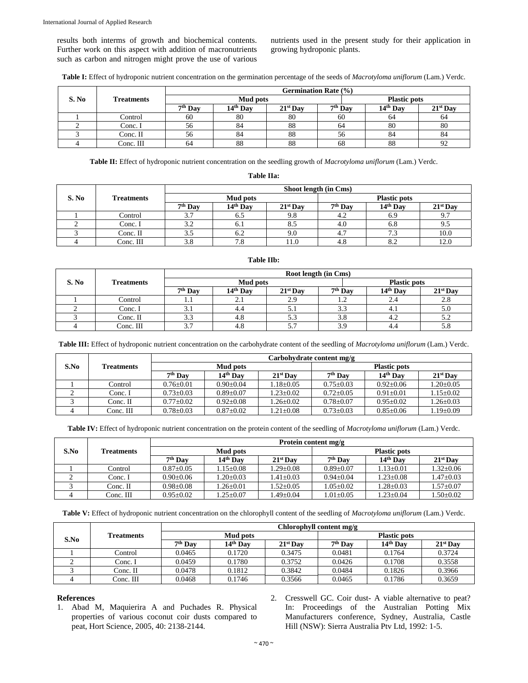results both interms of growth and biochemical contents. Further work on this aspect with addition of macronutrients such as carbon and nitrogen might prove the use of various nutrients used in the present study for their application in growing hydroponic plants.

**Table I:** Effect of hydroponic nutrient concentration on the germination percentage of the seeds of *Macrotyloma uniflorum* (Lam.) Verdc.

|       |                   |                     |          |            | <b>Germination Rate (%)</b> |                     |            |  |  |  |
|-------|-------------------|---------------------|----------|------------|-----------------------------|---------------------|------------|--|--|--|
| S. No | <b>Treatments</b> | <b>Mud pots</b>     |          |            |                             | <b>Plastic pots</b> |            |  |  |  |
|       |                   | 7 <sup>th</sup> Day | 14th Day | $21st$ Day | 7 <sup>th</sup> Day         | 14th Day            | $21st$ Day |  |  |  |
|       | Control           | 60                  | 80       | 80         | 60                          | 64                  | 64         |  |  |  |
|       | Conc. I           | 56                  | 84       | 88         | 64                          | 80                  | 80         |  |  |  |
|       | Conc. II          | 56 <sub>2</sub>     | 84       | 88         | 56                          | 84                  | 84         |  |  |  |
|       | Conc. III         | 64                  | 88       | 88         | 68                          | 88                  | 92         |  |  |  |

**Table II:** Effect of hydroponic nutrient concentration on the seedling growth of *Macrotyloma uniflorum* (Lam.) Verdc.

**Table IIa:** 

|       |                   |                 |                      |            | Shoot length (in Cms) |                      |            |
|-------|-------------------|-----------------|----------------------|------------|-----------------------|----------------------|------------|
| S. No | <b>Treatments</b> | <b>Mud pots</b> |                      |            |                       |                      |            |
|       |                   | $7th$ Day       | 14 <sup>th</sup> Day | $21st$ Day | $7th$ Day             | 14 <sup>th</sup> Day | $21st$ Day |
|       | Control           | 3.7             | 6.5                  | 9.8        | 4.2                   | 6.9                  | 9.7        |
|       | Conc. I           | 3.2             | b. .                 | 8.5        | 4.0                   | 6.8                  | 9.5        |
|       | Conc. II          | 3.5             | 0.2                  | 9.0        | 4.7                   | 7.3                  | 10.0       |
|       | Conc. III         | 3.8             | 7.8                  | 11.0       | 4.8                   | 8.2                  | 12.0       |

|       |                   |           |                      | Root length (in Cms) |           |                     |            |  |
|-------|-------------------|-----------|----------------------|----------------------|-----------|---------------------|------------|--|
| S. No | <b>Treatments</b> | Mud pots  |                      |                      |           | <b>Plastic pots</b> |            |  |
|       |                   | $7th$ Day | 14 <sup>th</sup> Day | $21st$ Day           | $7th$ Day | $14th$ Day          | $21st$ Day |  |
|       | Control           |           | 2.1                  | 2.9                  |           | 2.4                 | 2.8        |  |
|       | Conc. I           |           | 4.4                  | 5.1                  | 3.3       | 4.1                 | 5.0        |  |
|       | Conc. II          | 3.3       | 4.8                  | 5.3                  | 3.8       | 4.2                 | 5.2        |  |
|       | Conc. III         |           | 4.8                  | 5.7                  | 3.9       | 4.4                 | 5.8        |  |

**Table III:** Effect of hydroponic nutrient concentration on the carbohydrate content of the seedling of *Macrotyloma uniflorum* (Lam.) Verdc.

|      |                   |                 |                      |                 | Carbohydrate content mg/g |                      |                 |  |  |
|------|-------------------|-----------------|----------------------|-----------------|---------------------------|----------------------|-----------------|--|--|
| S.No | <b>Treatments</b> |                 | <b>Mud pots</b>      |                 |                           | <b>Plastic pots</b>  |                 |  |  |
|      |                   | $7th$ Day       | 14 <sup>th</sup> Day | $21st$ Day      | $7th$ Dav                 | 14 <sup>th</sup> Dav | $21st$ Day      |  |  |
|      | Control           | $0.76 \pm 0.01$ | $0.90+0.04$          | $1.18 \pm 0.05$ | $0.75 \pm 0.03$           | $0.92 + 0.06$        | $1.20 \pm 0.05$ |  |  |
|      | Conc. I           | $0.73 \pm 0.03$ | $0.89 + 0.07$        | $1.23 + 0.02$   | $0.72 + 0.05$             | $0.91 + 0.01$        | $1.15+0.02$     |  |  |
|      | Conc. II          | $0.77 \pm 0.02$ | $0.92 + 0.08$        | $1.26 + 0.02$   | $0.78 + 0.07$             | $0.95 + 0.02$        | $1.26 \pm 0.03$ |  |  |
|      | Conc. III         | $0.78 \pm 0.03$ | $0.87 \pm 0.02$      | $1.21 + 0.08$   | $0.73 + 0.03$             | $0.85 + 0.06$        | $1.19 \pm 0.09$ |  |  |

**Table IV:** Effect of hydroponic nutrient concentration on the protein content of the seedling of *Macrotyloma uniflorum* (Lam.) Verdc.

|      |            |                 |                 | Protein content mg/g |                 |                     |                 |  |  |
|------|------------|-----------------|-----------------|----------------------|-----------------|---------------------|-----------------|--|--|
| S.No | Treatments |                 | <b>Mud pots</b> |                      |                 | <b>Plastic pots</b> |                 |  |  |
|      |            | $7th$ Day       | $14th$ Day      | $21st$ Day           | $7th$ Dav       | $14th$ Day          | $21st$ Day      |  |  |
|      | Control    | $0.87 \pm 0.05$ | $1.15 \pm 0.08$ | $1.29 \pm 0.08$      | $0.89 + 0.07$   | $1.13 \pm 0.01$     | $1.32 \pm 0.06$ |  |  |
|      | Conc. I    | $0.90 \pm 0.06$ | $1.20 \pm 0.03$ | $1.41 \pm 0.03$      | $0.94 \pm 0.04$ | $1.23 \pm 0.08$     | $1.47 \pm 0.03$ |  |  |
|      | Conc. II   | $0.98 + 0.08$   | $1.26 + 0.01$   | $1.52+0.05$          | $1.05 \pm 0.02$ | $1.28 \pm 0.03$     | $1.57 \pm 0.07$ |  |  |
|      | Conc. III  | $0.95 \pm 0.02$ | $1.25+0.07$     | $1.49 + 0.04$        | $1.01 \pm 0.05$ | $1.23 \pm 0.04$     | $1.50 \pm 0.02$ |  |  |

**Table V:** Effect of hydroponic nutrient concentration on the chlorophyll content of the seedling of *Macrotyloma uniflorum* (Lam.) Verdc.

|      |            | Chlorophyll content mg/g |                      |            |                     |                      |            |  |  |
|------|------------|--------------------------|----------------------|------------|---------------------|----------------------|------------|--|--|
| S.No | Treatments | <b>Mud pots</b>          |                      |            | <b>Plastic pots</b> |                      |            |  |  |
|      |            | $7th$ Dav                | 14 <sup>th</sup> Dav | $21st$ Dav | $7th$ Dav           | 14 <sup>th</sup> Dav | $21st$ Day |  |  |
|      | Control    | 0.0465                   | 0.1720               | 0.3475     | 0.0481              | 0.1764               | 0.3724     |  |  |
|      | Conc. I    | 0.0459                   | 0.1780               | 0.3752     | 0.0426              | 0.1708               | 0.3558     |  |  |
|      | $Conc.$ II | 0.0478                   | 0.1812               | 0.3842     | 0.0484              | 0.1826               | 0.3966     |  |  |
|      | Conc. III  | 0.0468                   | 0.1746               | 0.3566     | 0.0465              | 0.1786               | 0.3659     |  |  |

#### **References**

- 1. Abad M, Maquierira A and Puchades R. Physical properties of various coconut coir dusts compared to peat, Hort Science, 2005, 40: 2138-2144.
- 2. Cresswell GC. Coir dust- A viable alternative to peat? In: Proceedings of the Australian Potting Mix Manufacturers conference, Sydney, Australia, Castle Hill (NSW): Sierra Australia Ptv Ltd, 1992: 1-5.

## **Table IIb:**